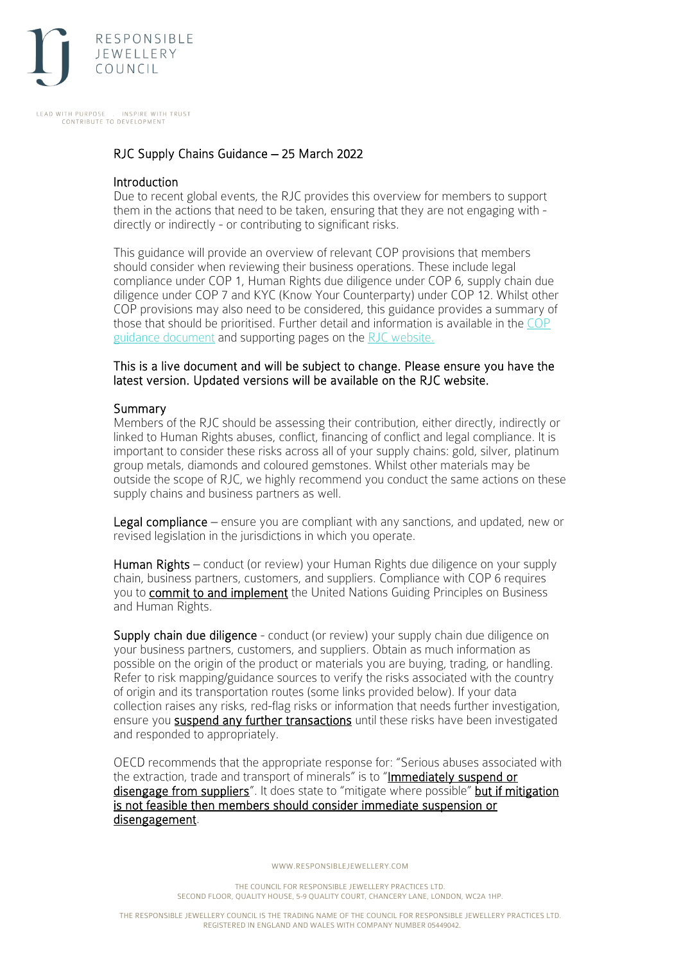

LEAD WITH PURPOSE INSPIRE WITH TRUST CONTRIBUTE TO DEVELOPMENT

# RJC Supply Chains Guidance – 25 March 2022

#### **Introduction**

Due to recent global events, the RJC provides this overview for members to support them in the actions that need to be taken, ensuring that they are not engaging with directly or indirectly - or contributing to significant risks.

This guidance will provide an overview of relevant COP provisions that members should consider when reviewing their business operations. These include legal compliance under COP 1, Human Rights due diligence under COP 6, supply chain due diligence under COP 7 and KYC (Know Your Counterparty) under COP 12. Whilst other COP provisions may also need to be considered, this guidance provides a summary of those that should be prioritised. Further detail and information is available in the [COP](https://www.responsiblejewellery.com/wp-content/uploads/SD_RJC_COP-guidance-V1.3-December-2020.pdf?_ga=2.196486703.228443972.1646903534-1241297284.1643368648)  [guidance document](https://www.responsiblejewellery.com/wp-content/uploads/SD_RJC_COP-guidance-V1.3-December-2020.pdf?_ga=2.196486703.228443972.1646903534-1241297284.1643368648) and supporting pages on the [RJC website.](https://responsiblejewellery.com/support/cop-2019-walkthrough/)

#### This is a live document and will be subject to change. Please ensure you have the latest version. Updated versions will be available on the RJC website.

#### Summary

Members of the RJC should be assessing their contribution, either directly, indirectly or linked to Human Rights abuses, conflict, financing of conflict and legal compliance. It is important to consider these risks across all of your supply chains: gold, silver, platinum group metals, diamonds and coloured gemstones. Whilst other materials may be outside the scope of RJC, we highly recommend you conduct the same actions on these supply chains and business partners as well.

Legal compliance – ensure you are compliant with any sanctions, and updated, new or revised legislation in the jurisdictions in which you operate.

Human Rights – conduct (or review) your Human Rights due diligence on your supply chain, business partners, customers, and suppliers. Compliance with COP 6 requires you to **commit to and implement** the United Nations Guiding Principles on Business and Human Rights.

Supply chain due diligence - conduct (or review) your supply chain due diligence on your business partners, customers, and suppliers. Obtain as much information as possible on the origin of the product or materials you are buying, trading, or handling. Refer to risk mapping/guidance sources to verify the risks associated with the country of origin and its transportation routes (some links provided below). If your data collection raises any risks, red-flag risks or information that needs further investigation, ensure you suspend any further transactions until these risks have been investigated and responded to appropriately.

OECD recommends that the appropriate response for: "Serious abuses associated with the extraction, trade and transport of minerals" is to "Immediately suspend or disengage from suppliers". It does state to "mitigate where possible" but if mitigation is not feasible then members should consider immediate suspension or disengagement.

WWW.RESPONSIBLEJEWELLERY.COM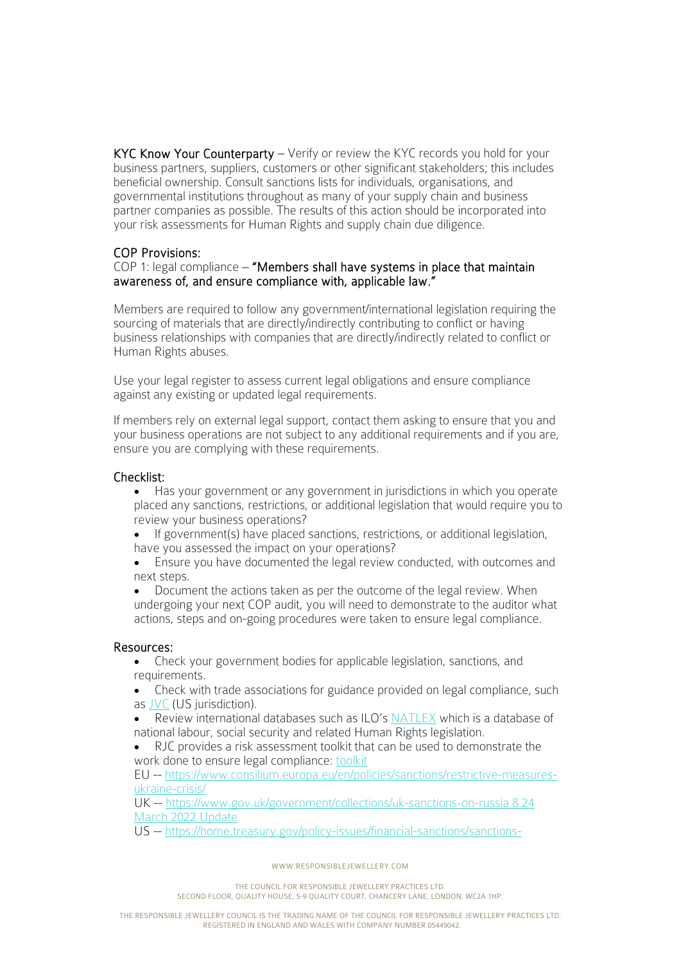KYC Know Your Counterparty – Verify or review the KYC records you hold for your business partners, suppliers, customers or other significant stakeholders; this includes beneficial ownership. Consult sanctions lists for individuals, organisations, and governmental institutions throughout as many of your supply chain and business partner companies as possible. The results of this action should be incorporated into your risk assessments for Human Rights and supply chain due diligence.

# COP Provisions:

## COP 1: legal compliance – "Members shall have systems in place that maintain awareness of, and ensure compliance with, applicable law."

Members are required to follow any government/international legislation requiring the sourcing of materials that are directly/indirectly contributing to conflict or having business relationships with companies that are directly/indirectly related to conflict or Human Rights abuses.

Use your legal register to assess current legal obligations and ensure compliance against any existing or updated legal requirements.

If members rely on external legal support, contact them asking to ensure that you and your business operations are not subject to any additional requirements and if you are, ensure you are complying with these requirements.

# Checklist:

- Has your government or any government in jurisdictions in which you operate placed any sanctions, restrictions, or additional legislation that would require you to review your business operations?
- If government(s) have placed sanctions, restrictions, or additional legislation, have you assessed the impact on your operations?
- Ensure you have documented the legal review conducted, with outcomes and next steps.
- Document the actions taken as per the outcome of the legal review. When undergoing your next COP audit, you will need to demonstrate to the auditor what actions, steps and on-going procedures were taken to ensure legal compliance.

# Resources:

- Check your government bodies for applicable legislation, sanctions, and requirements.
- Check with trade associations for guidance provided on legal compliance, such as [JVC](https://jvclegal.org/) (US jurisdiction).
- Review international databases such as ILO's [NATLEX](https://www.ilo.org/dyn/natlex/natlex4.home) which is a database of national labour, social security and related Human Rights legislation.
- RJC provides a risk assessment toolkit that can be used to demonstrate the work done to ensure legal compliance: [toolkit](https://www.responsiblejewellery.com/wp-content/uploads/RJC_Risk_Assessment_Toolkit-1.zip?_ga=2.196486703.228443972.1646903534-1241297284.1643368648)

EU -- [https://www.consilium.europa.eu/en/policies/sanctions/restrictive-measures](https://www.consilium.europa.eu/en/policies/sanctions/restrictive-measures-ukraine-crisis/)[ukraine-crisis/](https://www.consilium.europa.eu/en/policies/sanctions/restrictive-measures-ukraine-crisis/)

UK -- [https://www.gov.uk/government/collections/uk-sanctions-on-russia & 24](https://www.gov.uk/government/collections/uk-sanctions-on-russia%20&%2024%20March%202022%20Update)  [March 2022 Update](https://www.gov.uk/government/collections/uk-sanctions-on-russia%20&%2024%20March%202022%20Update)

US -- [https://home.treasury.gov/policy-issues/financial-sanctions/sanctions-](https://home.treasury.gov/policy-issues/financial-sanctions/sanctions-programs-and-country-information/russian-harmful-foreign-activities-sanctions)

WWW.RESPONSIBLEJEWELLERY.COM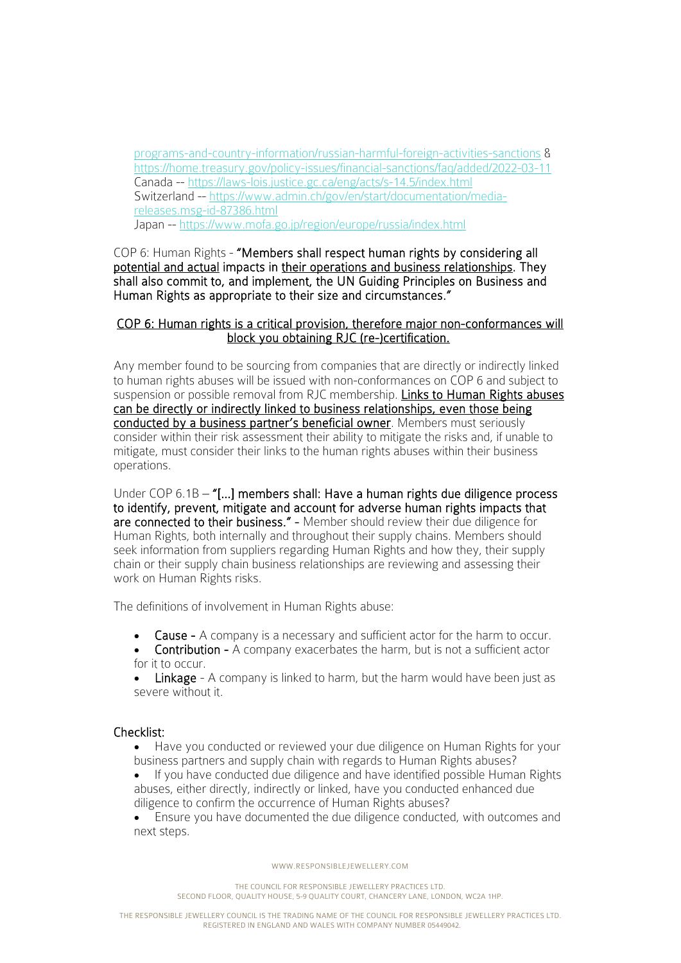[programs-and-country-information/russian-harmful-foreign-activities-sanctions](https://home.treasury.gov/policy-issues/financial-sanctions/sanctions-programs-and-country-information/russian-harmful-foreign-activities-sanctions) & <https://home.treasury.gov/policy-issues/financial-sanctions/faq/added/2022-03-11> Canada --<https://laws-lois.justice.gc.ca/eng/acts/s-14.5/index.html> Switzerland -- [https://www.admin.ch/gov/en/start/documentation/media](https://www.admin.ch/gov/en/start/documentation/media-releases.msg-id-87386.html)[releases.msg-id-87386.html](https://www.admin.ch/gov/en/start/documentation/media-releases.msg-id-87386.html) Japan --<https://www.mofa.go.jp/region/europe/russia/index.html>

COP 6: Human Rights - "Members shall respect human rights by considering all potential and actual impacts in their operations and business relationships. They shall also commit to, and implement, the UN Guiding Principles on Business and Human Rights as appropriate to their size and circumstances."

## COP 6: Human rights is a critical provision, therefore major non-conformances will block you obtaining RJC (re-)certification.

Any member found to be sourcing from companies that are directly or indirectly linked to human rights abuses will be issued with non-conformances on COP 6 and subject to suspension or possible removal from RJC membership. Links to Human Rights abuses can be directly or indirectly linked to business relationships, even those being conducted by a business partner's beneficial owner. Members must seriously consider within their risk assessment their ability to mitigate the risks and, if unable to mitigate, must consider their links to the human rights abuses within their business operations.

Under COP 6.1B – "[...] members shall: Have a human rights due diligence process to identify, prevent, mitigate and account for adverse human rights impacts that are connected to their business." - Member should review their due diligence for Human Rights, both internally and throughout their supply chains. Members should seek information from suppliers regarding Human Rights and how they, their supply chain or their supply chain business relationships are reviewing and assessing their work on Human Rights risks.

The definitions of involvement in Human Rights abuse:

- Cause A company is a necessary and sufficient actor for the harm to occur.
- Contribution A company exacerbates the harm, but is not a sufficient actor for it to occur.

**Linkage** - A company is linked to harm, but the harm would have been just as severe without it.

#### Checklist:

- Have you conducted or reviewed your due diligence on Human Rights for your business partners and supply chain with regards to Human Rights abuses?
- If you have conducted due diligence and have identified possible Human Rights abuses, either directly, indirectly or linked, have you conducted enhanced due diligence to confirm the occurrence of Human Rights abuses?
- Ensure you have documented the due diligence conducted, with outcomes and next steps.

WWW.RESPONSIBLEJEWELLERY.COM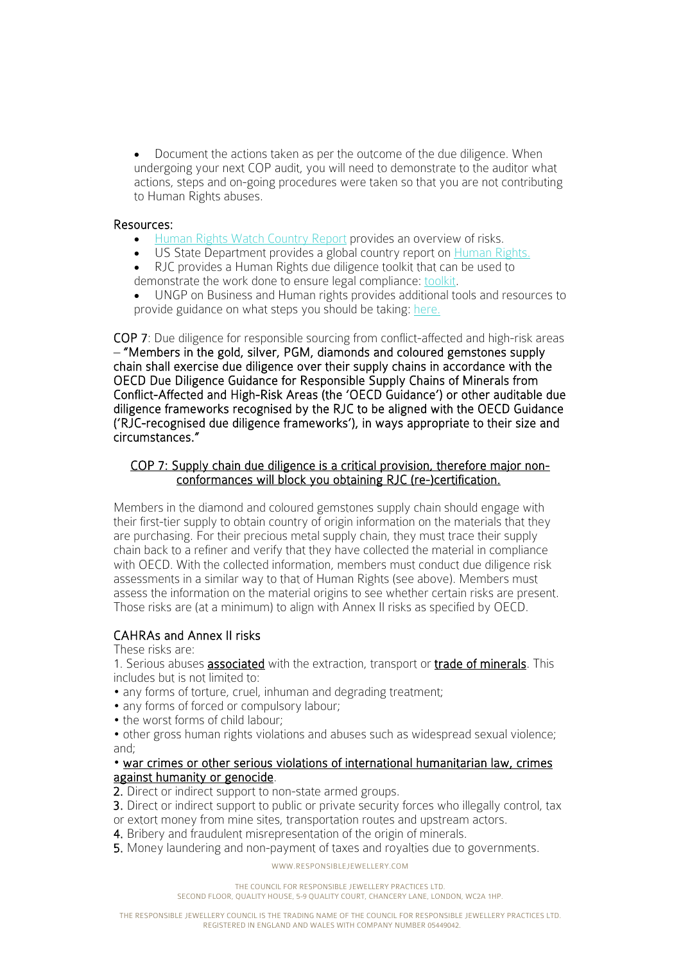• Document the actions taken as per the outcome of the due diligence. When undergoing your next COP audit, you will need to demonstrate to the auditor what actions, steps and on-going procedures were taken so that you are not contributing to Human Rights abuses.

## Resources:

- [Human Rights Watch Country Report](https://www.hrw.org/world-report/2021) provides an overview of risks.
- US State Department provides a global country report on [Human Rights.](https://www.state.gov/reports/2020-country-reports-on-human-rights-practices/)
- RJC provides a Human Rights due diligence toolkit that can be used to demonstrate the work done to ensure legal compliance: [toolkit.](https://www.responsiblejewellery.com/wp-content/uploads/RJC_Human_Rights_Due_Diligence_Toolkit_Nov2013_eng-1.zip?_ga=2.195569199.228443972.1646903534-1241297284.1643368648)

• UNGP on Business and Human rights provides additional tools and resources to provide guidance on what steps you should be taking: [here.](https://www.business-humanrights.org/en/big-issues/un-guiding-principles-on-business-human-rights/)

COP 7: Due diligence for responsible sourcing from conflict-affected and high-risk areas – "Members in the gold, silver, PGM, diamonds and coloured gemstones supply chain shall exercise due diligence over their supply chains in accordance with the OECD Due Diligence Guidance for Responsible Supply Chains of Minerals from Conflict-Affected and High-Risk Areas (the 'OECD Guidance') or other auditable due diligence frameworks recognised by the RJC to be aligned with the OECD Guidance ('RJC-recognised due diligence frameworks'), in ways appropriate to their size and circumstances."

# COP 7: Supply chain due diligence is a critical provision, therefore major nonconformances will block you obtaining RJC (re-)certification.

Members in the diamond and coloured gemstones supply chain should engage with their first-tier supply to obtain country of origin information on the materials that they are purchasing. For their precious metal supply chain, they must trace their supply chain back to a refiner and verify that they have collected the material in compliance with OECD. With the collected information, members must conduct due diligence risk assessments in a similar way to that of Human Rights (see above). Members must assess the information on the material origins to see whether certain risks are present. Those risks are (at a minimum) to align with Annex II risks as specified by OECD.

# CAHRAs and Annex II risks

These risks are:

1. Serious abuses **associated** with the extraction, transport or **trade of minerals**. This includes but is not limited to:

- any forms of torture, cruel, inhuman and degrading treatment;
- any forms of forced or compulsory labour;
- the worst forms of child labour:

• other gross human rights violations and abuses such as widespread sexual violence; and;

## • war crimes or other serious violations of international humanitarian law, crimes against humanity or genocide.

- 2. Direct or indirect support to non-state armed groups.
- **3.** Direct or indirect support to public or private security forces who illegally control, tax
- or extort money from mine sites, transportation routes and upstream actors.
- 4. Bribery and fraudulent misrepresentation of the origin of minerals.
- 5. Money laundering and non-payment of taxes and royalties due to governments.

WWW.RESPONSIBLEJEWELLERY.COM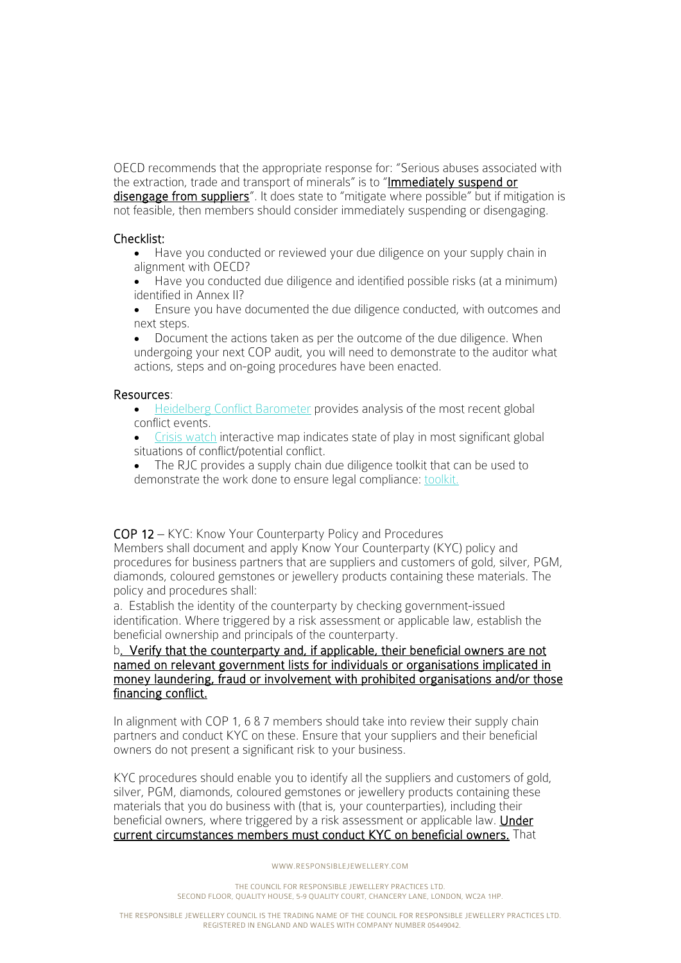OECD recommends that the appropriate response for: "Serious abuses associated with the extraction, trade and transport of minerals" is to "Immediately suspend or disengage from suppliers". It does state to "mitigate where possible" but if mitigation is not feasible, then members should consider immediately suspending or disengaging.

## Checklist:

- Have you conducted or reviewed your due diligence on your supply chain in alignment with OECD?
- Have you conducted due diligence and identified possible risks (at a minimum) identified in Annex II?
- Ensure you have documented the due diligence conducted, with outcomes and next steps.
- Document the actions taken as per the outcome of the due diligence. When undergoing your next COP audit, you will need to demonstrate to the auditor what actions, steps and on-going procedures have been enacted.

## Resources:

- [Heidelberg Conflict Barometer](http://www.hiik.de/?lang=en/) provides analysis of the most recent global conflict events.
- [Crisis watch](https://www.crisisgroup.org/crisiswatch#overview) interactive map indicates state of play in most significant global situations of conflict/potential conflict.
- The RJC provides a supply chain due diligence toolkit that can be used to demonstrate the work done to ensure legal compliance: [toolkit.](https://www.responsiblejewellery.com/support/cop-2019-walkthrough/provision-07/#download-rjc-due-diligence-member-toolkit)

COP 12 – KYC: Know Your Counterparty Policy and Procedures

Members shall document and apply Know Your Counterparty (KYC) policy and procedures for business partners that are suppliers and customers of gold, silver, PGM, diamonds, coloured gemstones or jewellery products containing these materials. The policy and procedures shall:

a. Establish the identity of the counterparty by checking government-issued identification. Where triggered by a risk assessment or applicable law, establish the beneficial ownership and principals of the counterparty.

## b. Verify that the counterparty and, if applicable, their beneficial owners are not named on relevant government lists for individuals or organisations implicated in money laundering, fraud or involvement with prohibited organisations and/or those financing conflict.

In alignment with COP 1, 6 & 7 members should take into review their supply chain partners and conduct KYC on these. Ensure that your suppliers and their beneficial owners do not present a significant risk to your business.

KYC procedures should enable you to identify all the suppliers and customers of gold, silver, PGM, diamonds, coloured gemstones or jewellery products containing these materials that you do business with (that is, your counterparties), including their beneficial owners, where triggered by a risk assessment or applicable law. Under current circumstances members must conduct KYC on beneficial owners. That

#### WWW.RESPONSIBLEJEWELLERY.COM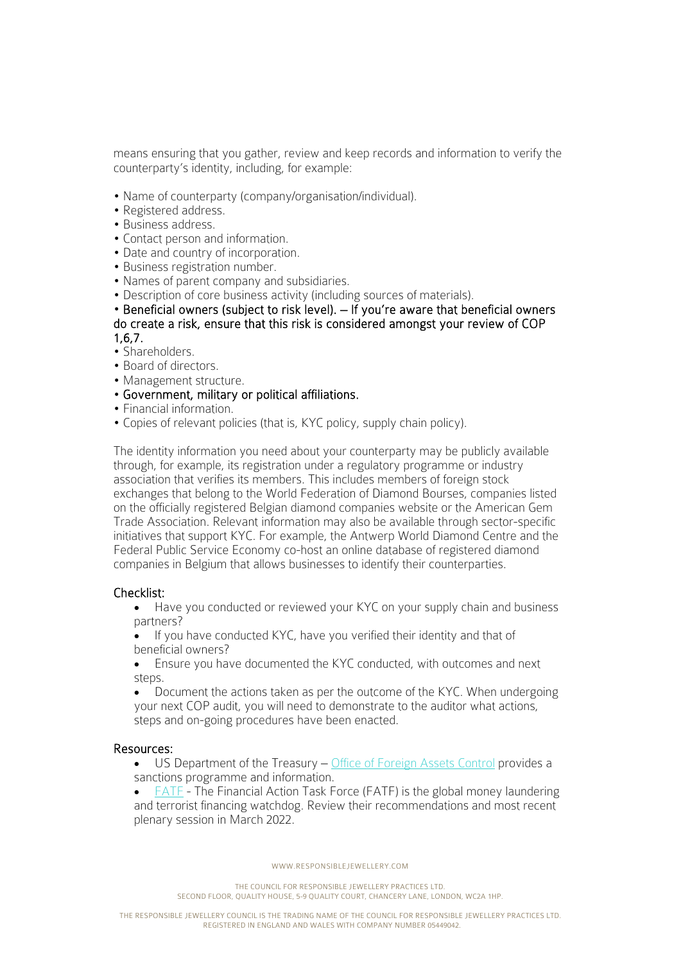means ensuring that you gather, review and keep records and information to verify the counterparty's identity, including, for example:

- Name of counterparty (company/organisation/individual).
- Registered address.
- Business address.
- Contact person and information.
- Date and country of incorporation.
- Business registration number.
- Names of parent company and subsidiaries.
- Description of core business activity (including sources of materials).

• Beneficial owners (subject to risk level). – If you're aware that beneficial owners do create a risk, ensure that this risk is considered amongst your review of COP 1,6,7.

- 
- Shareholders.
- Board of directors. • Management structure.
- Government, military or political affiliations.
- Financial information.
- Copies of relevant policies (that is, KYC policy, supply chain policy).

The identity information you need about your counterparty may be publicly available through, for example, its registration under a regulatory programme or industry association that verifies its members. This includes members of foreign stock exchanges that belong to the World Federation of Diamond Bourses, companies listed on the officially registered Belgian diamond companies website or the American Gem Trade Association. Relevant information may also be available through sector-specific initiatives that support KYC. For example, the Antwerp World Diamond Centre and the Federal Public Service Economy co-host an online database of registered diamond companies in Belgium that allows businesses to identify their counterparties.

# Checklist:

- Have you conducted or reviewed your KYC on your supply chain and business partners?
- If you have conducted KYC, have you verified their identity and that of beneficial owners?
- Ensure you have documented the KYC conducted, with outcomes and next steps.
- Document the actions taken as per the outcome of the KYC. When undergoing your next COP audit, you will need to demonstrate to the auditor what actions, steps and on-going procedures have been enacted.

#### Resources:

- US Department of the Treasury – [Office of Foreign Assets Control](https://home.treasury.gov/policy-issues/office-of-foreign-assets-control-sanctions-programs-and-information) provides a sanctions programme and information.
- FATE The Financial Action Task Force (FATF) is the global money laundering and terrorist financing watchdog. Review their recommendations and most recent plenary session in March 2022.

WWW.RESPONSIBLEJEWELLERY.COM